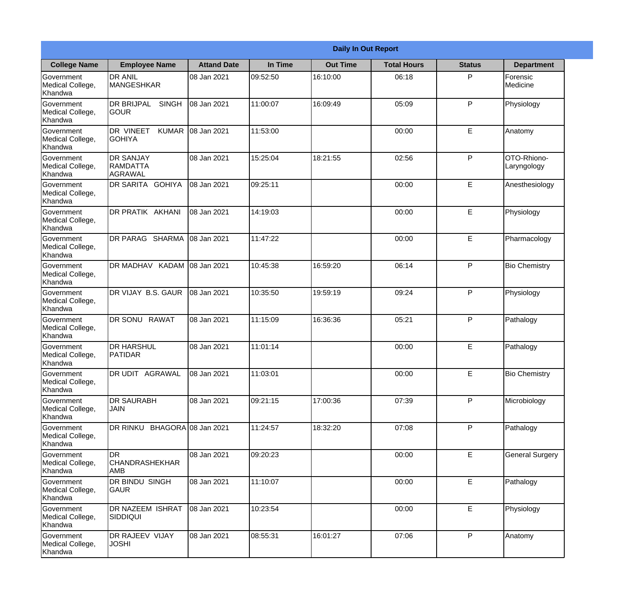|                                                  |                                                       |                    |          | <b>Daily In Out Report</b> |                    |               |                            |
|--------------------------------------------------|-------------------------------------------------------|--------------------|----------|----------------------------|--------------------|---------------|----------------------------|
| <b>College Name</b>                              | <b>Employee Name</b>                                  | <b>Attand Date</b> | In Time  | <b>Out Time</b>            | <b>Total Hours</b> | <b>Status</b> | <b>Department</b>          |
| Government<br>Medical College,<br>Khandwa        | <b>DR ANIL</b><br><b>MANGESHKAR</b>                   | 08 Jan 2021        | 09:52:50 | 16:10:00                   | 06:18              | P             | Forensic<br>Medicine       |
| Government<br>Medical College,<br>Khandwa        | <b>DR BRIJPAL</b><br><b>SINGH</b><br> GOUR            | 08 Jan 2021        | 11:00:07 | 16:09:49                   | 05:09              | P             | Physiology                 |
| <b>Government</b><br>Medical College,<br>Khandwa | <b>DR VINEET</b><br><b>KUMAR</b><br><b>I</b> GOHIYA   | 08 Jan 2021        | 11:53:00 |                            | 00:00              | E             | Anatomy                    |
| Government<br>Medical College,<br>Khandwa        | <b>DR SANJAY</b><br><b>RAMDATTA</b><br><b>AGRAWAL</b> | 08 Jan 2021        | 15:25:04 | 18:21:55                   | 02:56              | P             | OTO-Rhiono-<br>Laryngology |
| Government<br>Medical College,<br>Khandwa        | <b>IDR SARITA GOHIYA</b>                              | 08 Jan 2021        | 09:25:11 |                            | 00:00              | E             | Anesthesiology             |
| Government<br>Medical College,<br>Khandwa        | DR PRATIK AKHANI                                      | 08 Jan 2021        | 14:19:03 |                            | 00:00              | E             | Physiology                 |
| Government<br>Medical College,<br>Khandwa        | DR PARAG SHARMA                                       | 08 Jan 2021        | 11:47:22 |                            | 00:00              | E             | Pharmacology               |
| Government<br>Medical College,<br>Khandwa        | DR MADHAV KADAM 08 Jan 2021                           |                    | 10:45:38 | 16:59:20                   | 06:14              | P             | <b>Bio Chemistry</b>       |
| Government<br>Medical College,<br>Khandwa        | DR VIJAY B.S. GAUR                                    | 08 Jan 2021        | 10:35:50 | 19:59:19                   | 09:24              | P             | Physiology                 |
| Government<br>Medical College,<br>Khandwa        | <b>DR SONU</b><br><b>RAWAT</b>                        | 08 Jan 2021        | 11:15:09 | 16:36:36                   | 05:21              | P             | Pathalogy                  |
| Government<br>Medical College,<br>Khandwa        | IDR HARSHUL<br><b>PATIDAR</b>                         | 08 Jan 2021        | 11:01:14 |                            | 00:00              | E             | Pathalogy                  |
| Government<br>Medical College,<br>Khandwa        | <b>DR UDIT AGRAWAL</b>                                | 08 Jan 2021        | 11:03:01 |                            | 00:00              | E             | <b>Bio Chemistry</b>       |
| Government<br>Medical College,<br>Khandwa        | <b>DR SAURABH</b><br><b>JAIN</b>                      | 08 Jan 2021        | 09:21:15 | 17:00:36                   | 07:39              | P             | Microbiology               |
| Government<br>Medical College,<br>Khandwa        | DR RINKU BHAGORA 08 Jan 2021                          |                    | 11:24:57 | 18:32:20                   | 07:08              | P             | Pathalogy                  |
| Government<br>Medical College,<br>Khandwa        | <b>DR</b><br> CHANDRASHEKHAR<br><b>AMB</b>            | 08 Jan 2021        | 09:20:23 |                            | 00:00              | E             | <b>General Surgery</b>     |
| Government<br>Medical College,<br>Khandwa        | DR BINDU SINGH<br><b>GAUR</b>                         | 08 Jan 2021        | 11:10:07 |                            | 00:00              | $\mathsf E$   | Pathalogy                  |
| Government<br>Medical College,<br>Khandwa        | <b>DR NAZEEM ISHRAT</b><br><b>SIDDIQUI</b>            | 08 Jan 2021        | 10:23:54 |                            | 00:00              | E             | Physiology                 |
| Government<br>Medical College,<br>Khandwa        | <b>DR RAJEEV VIJAY</b><br><b>JOSHI</b>                | 08 Jan 2021        | 08:55:31 | 16:01:27                   | 07:06              | P             | Anatomy                    |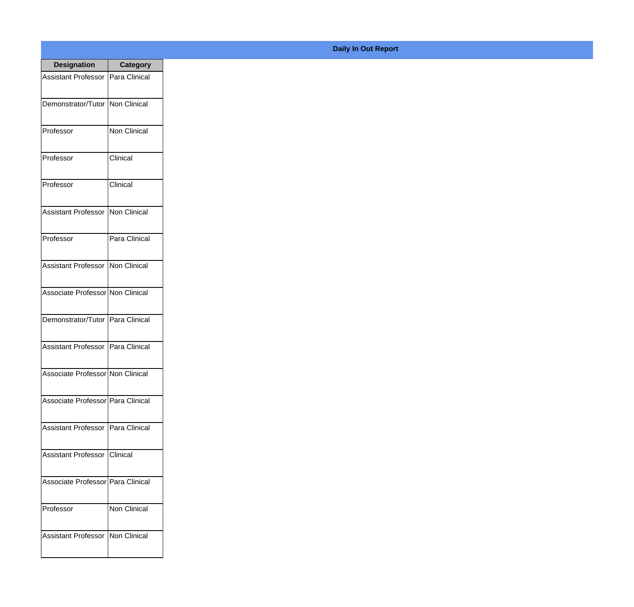| <b>Designation</b>                  | <b>Category</b>     |
|-------------------------------------|---------------------|
| <b>Assistant Professor</b>          | Para Clinical       |
| Demonstrator/Tutor   Non Clinical   |                     |
| Professor                           | <b>Non Clinical</b> |
| Professor                           | Clinical            |
| Professor                           | Clinical            |
| Assistant Professor                 | <b>Non Clinical</b> |
| Professor                           | Para Clinical       |
| <b>Assistant Professor</b>          | Non Clinical        |
| Associate Professor Non Clinical    |                     |
| Demonstrator/Tutor                  | Para Clinical       |
| <b>Assistant Professor</b>          | Para Clinical       |
| Associate Professor Non Clinical    |                     |
| Associate Professor   Para Clinical |                     |
| Assistant Professor   Para Clinical |                     |
| <b>Assistant Professor</b>          | Clinical            |
| Associate Professor   Para Clinical |                     |
| Professor                           | <b>Non Clinical</b> |
| Assistant Professor   Non Clinical  |                     |

**Daily In Out Report**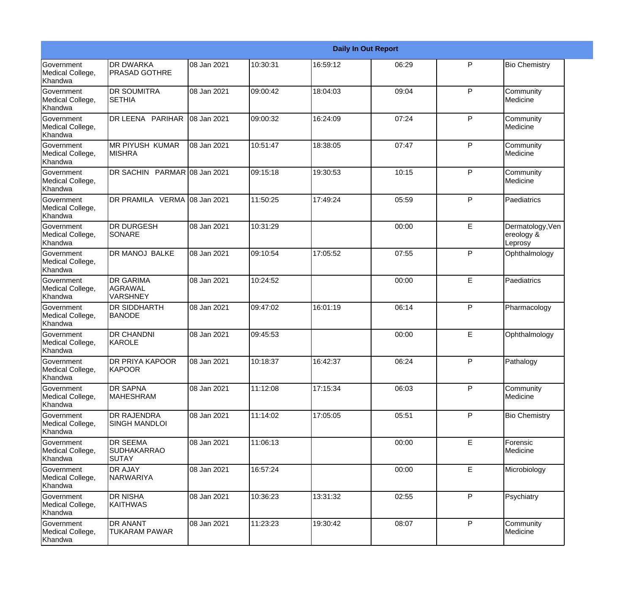|                                           |                                                       |             |          |          | <b>Daily In Out Report</b> |              |                                           |
|-------------------------------------------|-------------------------------------------------------|-------------|----------|----------|----------------------------|--------------|-------------------------------------------|
| Government<br>Medical College,<br>Khandwa | <b>DR DWARKA</b><br><b>PRASAD GOTHRE</b>              | 08 Jan 2021 | 10:30:31 | 16:59:12 | 06:29                      | P            | <b>Bio Chemistry</b>                      |
| Government<br>Medical College,<br>Khandwa | <b>DR SOUMITRA</b><br><b>SETHIA</b>                   | 08 Jan 2021 | 09:00:42 | 18:04:03 | 09:04                      | $\mathsf{P}$ | Community<br>Medicine                     |
| Government<br>Medical College,<br>Khandwa | DR LEENA PARIHAR                                      | 08 Jan 2021 | 09:00:32 | 16:24:09 | 07:24                      | P            | Community<br>Medicine                     |
| Government<br>Medical College,<br>Khandwa | <b>MR PIYUSH KUMAR</b><br><b>MISHRA</b>               | 08 Jan 2021 | 10:51:47 | 18:38:05 | 07:47                      | $\mathsf{P}$ | Community<br>Medicine                     |
| Government<br>Medical College,<br>Khandwa | DR SACHIN PARMAR 08 Jan 2021                          |             | 09:15:18 | 19:30:53 | 10:15                      | $\mathsf{P}$ | Community<br>Medicine                     |
| Government<br>Medical College,<br>Khandwa | DR PRAMILA VERMA 08 Jan 2021                          |             | 11:50:25 | 17:49:24 | 05:59                      | $\mathsf{P}$ | Paediatrics                               |
| Government<br>Medical College,<br>Khandwa | <b>DR DURGESH</b><br>SONARE                           | 08 Jan 2021 | 10:31:29 |          | 00:00                      | E            | Dermatology, Ven<br>ereology &<br>Leprosy |
| Government<br>Medical College,<br>Khandwa | DR MANOJ BALKE                                        | 08 Jan 2021 | 09:10:54 | 17:05:52 | 07:55                      | $\mathsf{P}$ | Ophthalmology                             |
| Government<br>Medical College,<br>Khandwa | <b>DR GARIMA</b><br><b>AGRAWAL</b><br><b>VARSHNEY</b> | 08 Jan 2021 | 10:24:52 |          | 00:00                      | E            | Paediatrics                               |
| Government<br>Medical College,<br>Khandwa | <b>DR SIDDHARTH</b><br><b>BANODE</b>                  | 08 Jan 2021 | 09:47:02 | 16:01:19 | 06:14                      | $\mathsf{P}$ | Pharmacology                              |
| Government<br>Medical College,<br>Khandwa | <b>DR CHANDNI</b><br>KAROLE                           | 08 Jan 2021 | 09:45:53 |          | 00:00                      | E            | Ophthalmology                             |
| Government<br>Medical College,<br>Khandwa | DR PRIYA KAPOOR<br>KAPOOR                             | 08 Jan 2021 | 10:18:37 | 16:42:37 | 06:24                      | P            | Pathalogy                                 |
| Government<br>Medical College,<br>Khandwa | <b>DR SAPNA</b><br><b>MAHESHRAM</b>                   | 08 Jan 2021 | 11:12:08 | 17:15:34 | 06:03                      | P            | Community<br>Medicine                     |
| Government<br>Medical College,<br>Khandwa | <b>DR RAJENDRA</b><br><b>SINGH MANDLOI</b>            | 08 Jan 2021 | 11:14:02 | 17:05:05 | 05:51                      | P            | <b>Bio Chemistry</b>                      |
| Government<br>Medical College,<br>Khandwa | <b>DR SEEMA</b><br><b>SUDHAKARRAO</b><br><b>SUTAY</b> | 08 Jan 2021 | 11:06:13 |          | 00:00                      | E            | Forensic<br>Medicine                      |
| Government<br>Medical College,<br>Khandwa | <b>DR AJAY</b><br>NARWARIYA                           | 08 Jan 2021 | 16:57:24 |          | 00:00                      | E            | Microbiology                              |
| Government<br>Medical College,<br>Khandwa | <b>DR NISHA</b><br><b>KAITHWAS</b>                    | 08 Jan 2021 | 10:36:23 | 13:31:32 | 02:55                      | P            | Psychiatry                                |
| Government<br>Medical College,<br>Khandwa | <b>DR ANANT</b><br><b>TUKARAM PAWAR</b>               | 08 Jan 2021 | 11:23:23 | 19:30:42 | 08:07                      | P            | Community<br>Medicine                     |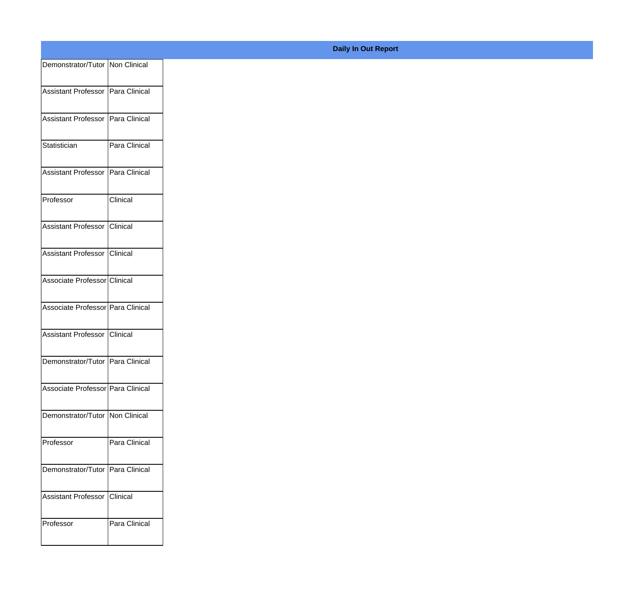| Demonstrator/Tutor Non Clinical     |                 |
|-------------------------------------|-----------------|
| Assistant Professor   Para Clinical |                 |
|                                     |                 |
| Assistant Professor Para Clinical   |                 |
| Statistician                        | Para Clinical   |
| Assistant Professor Para Clinical   |                 |
|                                     |                 |
| Professor                           | <b>Clinical</b> |
| Assistant Professor Clinical        |                 |
|                                     |                 |
| Assistant Professor Clinical        |                 |
| Associate Professor Clinical        |                 |
| Associate Professor Para Clinical   |                 |
|                                     |                 |
| Assistant Professor Clinical        |                 |
| Demonstrator/Tutor   Para Clinical  |                 |
| Associate Professor Para Clinical   |                 |
|                                     |                 |
| Demonstrator/Tutor Non Clinical     |                 |
| Professor                           | Para Clinical   |
| Demonstrator/Tutor Para Clinical    |                 |
|                                     |                 |
| Assistant Professor Clinical        |                 |
| Professor                           | Para Clinical   |
|                                     |                 |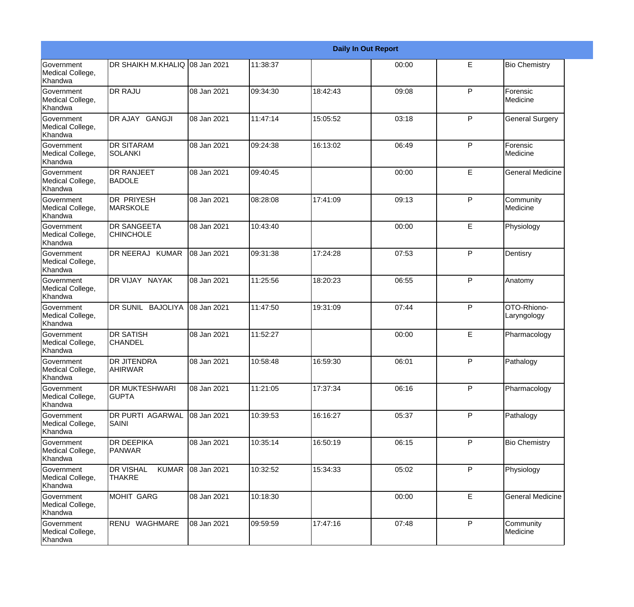|                                                  |                                            |             |          |          | <b>Daily In Out Report</b> |              |                            |
|--------------------------------------------------|--------------------------------------------|-------------|----------|----------|----------------------------|--------------|----------------------------|
| <b>Government</b><br>Medical College,<br>Khandwa | DR SHAIKH M.KHALIQ 08 Jan 2021             |             | 11:38:37 |          | 00:00                      | E            | <b>Bio Chemistry</b>       |
| Government<br>Medical College,<br>Khandwa        | <b>DR RAJU</b>                             | 08 Jan 2021 | 09:34:30 | 18:42:43 | 09:08                      | P            | Forensic<br>Medicine       |
| <b>Government</b><br>Medical College,<br>Khandwa | DR AJAY GANGJI                             | 08 Jan 2021 | 11:47:14 | 15:05:52 | 03:18                      | P            | <b>General Surgery</b>     |
| <b>Government</b><br>Medical College,<br>Khandwa | <b>DR SITARAM</b><br><b>SOLANKI</b>        | 08 Jan 2021 | 09:24:38 | 16:13:02 | 06:49                      | P            | Forensic<br>Medicine       |
| Government<br>Medical College,<br>Khandwa        | <b>DR RANJEET</b><br><b>BADOLE</b>         | 08 Jan 2021 | 09:40:45 |          | 00:00                      | E            | <b>General Medicine</b>    |
| Government<br>Medical College,<br>Khandwa        | <b>DR PRIYESH</b><br><b>MARSKOLE</b>       | 08 Jan 2021 | 08:28:08 | 17:41:09 | 09:13                      | $\mathsf{P}$ | Community<br>Medicine      |
| <b>Government</b><br>Medical College,<br>Khandwa | <b>DR SANGEETA</b><br><b>CHINCHOLE</b>     | 08 Jan 2021 | 10:43:40 |          | 00:00                      | E            | Physiology                 |
| Government<br>Medical College,<br>Khandwa        | DR NEERAJ KUMAR                            | 08 Jan 2021 | 09:31:38 | 17:24:28 | 07:53                      | $\mathsf{P}$ | Dentisry                   |
| Government<br>Medical College,<br>Khandwa        | DR VIJAY NAYAK                             | 08 Jan 2021 | 11:25:56 | 18:20:23 | 06:55                      | $\mathsf{P}$ | Anatomy                    |
| <b>Government</b><br>Medical College,<br>Khandwa | DR SUNIL BAJOLIYA                          | 08 Jan 2021 | 11:47:50 | 19:31:09 | 07:44                      | P            | OTO-Rhiono-<br>Laryngology |
| <b>Government</b><br>Medical College,<br>Khandwa | <b>DR SATISH</b><br><b>CHANDEL</b>         | 08 Jan 2021 | 11:52:27 |          | 00:00                      | E            | Pharmacology               |
| Government<br>Medical College,<br>Khandwa        | DR JITENDRA<br><b>AHIRWAR</b>              | 08 Jan 2021 | 10:58:48 | 16:59:30 | 06:01                      | P            | Pathalogy                  |
| Government<br>Medical College,<br>Khandwa        | DR MUKTESHWARI<br><b>GUPTA</b>             | 08 Jan 2021 | 11:21:05 | 17:37:34 | 06:16                      | $\mathsf{P}$ | Pharmacology               |
| Government<br>Medical College,<br>Khandwa        | DR PURTI AGARWAL<br>SAINI                  | 08 Jan 2021 | 10:39:53 | 16:16:27 | 05:37                      | P            | Pathalogy                  |
| Government<br>Medical College,<br>Khandwa        | <b>DR DEEPIKA</b><br>PANWAR                | 08 Jan 2021 | 10:35:14 | 16:50:19 | 06:15                      | P            | <b>Bio Chemistry</b>       |
| Government<br>Medical College,<br>Khandwa        | DR VISHAL<br><b>KUMAR</b><br><b>THAKRE</b> | 08 Jan 2021 | 10:32:52 | 15:34:33 | 05:02                      | $\mathsf{P}$ | Physiology                 |
| Government<br>Medical College,<br>Khandwa        | <b>MOHIT GARG</b>                          | 08 Jan 2021 | 10:18:30 |          | 00:00                      | E            | <b>General Medicine</b>    |
| Government<br>Medical College,<br>Khandwa        | RENU WAGHMARE                              | 08 Jan 2021 | 09:59:59 | 17:47:16 | 07:48                      | ${\sf P}$    | Community<br>Medicine      |